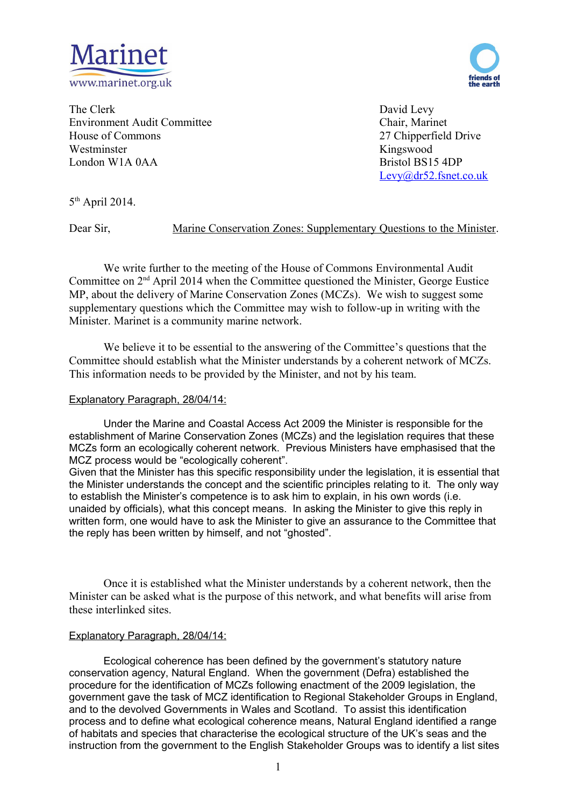



The Clerk David Levy Environment Audit Committee Chair, Marinet House of Commons 27 Chipperfield Drive Westminster Kingswood London W1A 0AA Bristol BS15 4DP

[Levy@dr52.fsnet.co.uk](mailto:Levy@dr52.fsnet.co.uk)

 $5<sup>th</sup>$  April 2014.

Dear Sir, Marine Conservation Zones: Supplementary Questions to the Minister.

We write further to the meeting of the House of Commons Environmental Audit Committee on 2nd April 2014 when the Committee questioned the Minister, George Eustice MP, about the delivery of Marine Conservation Zones (MCZs). We wish to suggest some supplementary questions which the Committee may wish to follow-up in writing with the Minister. Marinet is a community marine network.

We believe it to be essential to the answering of the Committee's questions that the Committee should establish what the Minister understands by a coherent network of MCZs. This information needs to be provided by the Minister, and not by his team.

# Explanatory Paragraph, 28/04/14:

Under the Marine and Coastal Access Act 2009 the Minister is responsible for the establishment of Marine Conservation Zones (MCZs) and the legislation requires that these MCZs form an ecologically coherent network. Previous Ministers have emphasised that the MCZ process would be "ecologically coherent".

Given that the Minister has this specific responsibility under the legislation, it is essential that the Minister understands the concept and the scientific principles relating to it. The only way to establish the Minister's competence is to ask him to explain, in his own words (i.e. unaided by officials), what this concept means. In asking the Minister to give this reply in written form, one would have to ask the Minister to give an assurance to the Committee that the reply has been written by himself, and not "ghosted".

Once it is established what the Minister understands by a coherent network, then the Minister can be asked what is the purpose of this network, and what benefits will arise from these interlinked sites.

# Explanatory Paragraph, 28/04/14:

Ecological coherence has been defined by the government's statutory nature conservation agency, Natural England. When the government (Defra) established the procedure for the identification of MCZs following enactment of the 2009 legislation, the government gave the task of MCZ identification to Regional Stakeholder Groups in England, and to the devolved Governments in Wales and Scotland. To assist this identification process and to define what ecological coherence means, Natural England identified a range of habitats and species that characterise the ecological structure of the UK's seas and the instruction from the government to the English Stakeholder Groups was to identify a list sites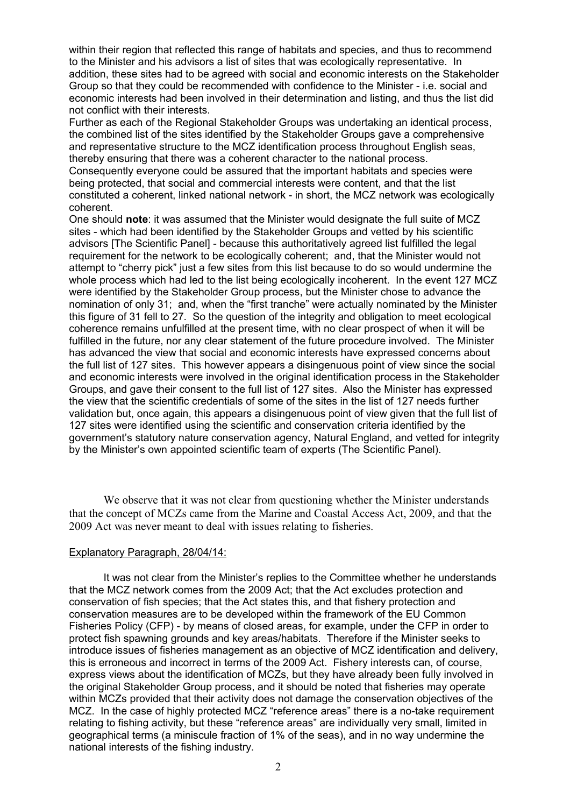within their region that reflected this range of habitats and species, and thus to recommend to the Minister and his advisors a list of sites that was ecologically representative. In addition, these sites had to be agreed with social and economic interests on the Stakeholder Group so that they could be recommended with confidence to the Minister - i.e. social and economic interests had been involved in their determination and listing, and thus the list did not conflict with their interests.

Further as each of the Regional Stakeholder Groups was undertaking an identical process, the combined list of the sites identified by the Stakeholder Groups gave a comprehensive and representative structure to the MCZ identification process throughout English seas, thereby ensuring that there was a coherent character to the national process. Consequently everyone could be assured that the important habitats and species were being protected, that social and commercial interests were content, and that the list constituted a coherent, linked national network - in short, the MCZ network was ecologically coherent.

One should **note**: it was assumed that the Minister would designate the full suite of MCZ sites - which had been identified by the Stakeholder Groups and vetted by his scientific advisors [The Scientific Panel] - because this authoritatively agreed list fulfilled the legal requirement for the network to be ecologically coherent; and, that the Minister would not attempt to "cherry pick" just a few sites from this list because to do so would undermine the whole process which had led to the list being ecologically incoherent. In the event 127 MCZ were identified by the Stakeholder Group process, but the Minister chose to advance the nomination of only 31; and, when the "first tranche" were actually nominated by the Minister this figure of 31 fell to 27. So the question of the integrity and obligation to meet ecological coherence remains unfulfilled at the present time, with no clear prospect of when it will be fulfilled in the future, nor any clear statement of the future procedure involved. The Minister has advanced the view that social and economic interests have expressed concerns about the full list of 127 sites. This however appears a disingenuous point of view since the social and economic interests were involved in the original identification process in the Stakeholder Groups, and gave their consent to the full list of 127 sites. Also the Minister has expressed the view that the scientific credentials of some of the sites in the list of 127 needs further validation but, once again, this appears a disingenuous point of view given that the full list of 127 sites were identified using the scientific and conservation criteria identified by the government's statutory nature conservation agency, Natural England, and vetted for integrity by the Minister's own appointed scientific team of experts (The Scientific Panel).

We observe that it was not clear from questioning whether the Minister understands that the concept of MCZs came from the Marine and Coastal Access Act, 2009, and that the 2009 Act was never meant to deal with issues relating to fisheries.

# Explanatory Paragraph, 28/04/14:

It was not clear from the Minister's replies to the Committee whether he understands that the MCZ network comes from the 2009 Act; that the Act excludes protection and conservation of fish species; that the Act states this, and that fishery protection and conservation measures are to be developed within the framework of the EU Common Fisheries Policy (CFP) - by means of closed areas, for example, under the CFP in order to protect fish spawning grounds and key areas/habitats. Therefore if the Minister seeks to introduce issues of fisheries management as an objective of MCZ identification and delivery, this is erroneous and incorrect in terms of the 2009 Act. Fishery interests can, of course, express views about the identification of MCZs, but they have already been fully involved in the original Stakeholder Group process, and it should be noted that fisheries may operate within MCZs provided that their activity does not damage the conservation objectives of the MCZ. In the case of highly protected MCZ "reference areas" there is a no-take requirement relating to fishing activity, but these "reference areas" are individually very small, limited in geographical terms (a miniscule fraction of 1% of the seas), and in no way undermine the national interests of the fishing industry.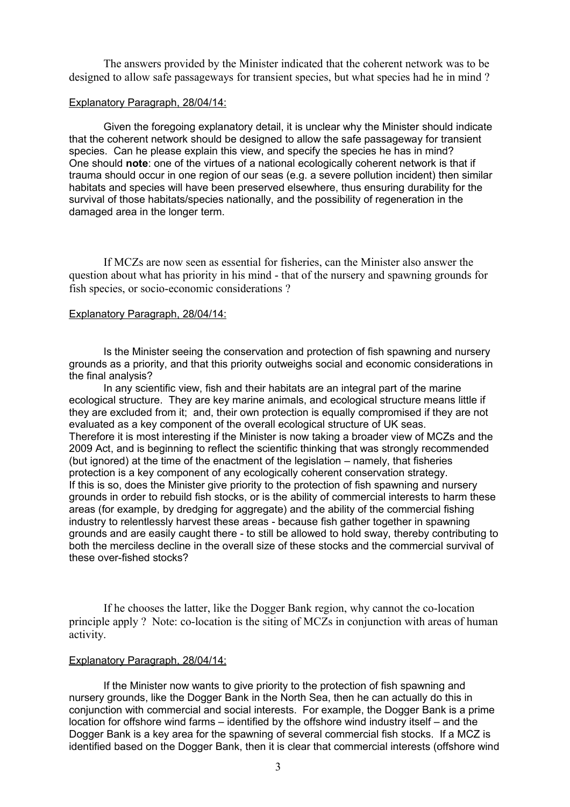The answers provided by the Minister indicated that the coherent network was to be designed to allow safe passageways for transient species, but what species had he in mind ?

#### Explanatory Paragraph, 28/04/14:

Given the foregoing explanatory detail, it is unclear why the Minister should indicate that the coherent network should be designed to allow the safe passageway for transient species. Can he please explain this view, and specify the species he has in mind? One should **note**: one of the virtues of a national ecologically coherent network is that if trauma should occur in one region of our seas (e.g. a severe pollution incident) then similar habitats and species will have been preserved elsewhere, thus ensuring durability for the survival of those habitats/species nationally, and the possibility of regeneration in the damaged area in the longer term.

If MCZs are now seen as essential for fisheries, can the Minister also answer the question about what has priority in his mind - that of the nursery and spawning grounds for fish species, or socio-economic considerations ?

#### Explanatory Paragraph, 28/04/14:

Is the Minister seeing the conservation and protection of fish spawning and nursery grounds as a priority, and that this priority outweighs social and economic considerations in the final analysis?

In any scientific view, fish and their habitats are an integral part of the marine ecological structure. They are key marine animals, and ecological structure means little if they are excluded from it; and, their own protection is equally compromised if they are not evaluated as a key component of the overall ecological structure of UK seas. Therefore it is most interesting if the Minister is now taking a broader view of MCZs and the 2009 Act, and is beginning to reflect the scientific thinking that was strongly recommended (but ignored) at the time of the enactment of the legislation – namely, that fisheries protection is a key component of any ecologically coherent conservation strategy. If this is so, does the Minister give priority to the protection of fish spawning and nursery grounds in order to rebuild fish stocks, or is the ability of commercial interests to harm these areas (for example, by dredging for aggregate) and the ability of the commercial fishing industry to relentlessly harvest these areas - because fish gather together in spawning grounds and are easily caught there - to still be allowed to hold sway, thereby contributing to both the merciless decline in the overall size of these stocks and the commercial survival of these over-fished stocks?

If he chooses the latter, like the Dogger Bank region, why cannot the co-location principle apply ? Note: co-location is the siting of MCZs in conjunction with areas of human activity.

### Explanatory Paragraph, 28/04/14:

If the Minister now wants to give priority to the protection of fish spawning and nursery grounds, like the Dogger Bank in the North Sea, then he can actually do this in conjunction with commercial and social interests. For example, the Dogger Bank is a prime location for offshore wind farms – identified by the offshore wind industry itself – and the Dogger Bank is a key area for the spawning of several commercial fish stocks. If a MCZ is identified based on the Dogger Bank, then it is clear that commercial interests (offshore wind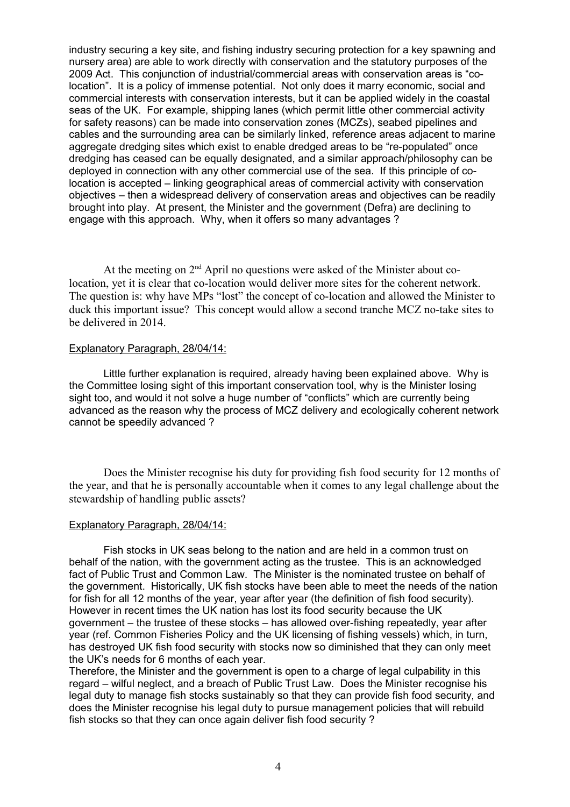industry securing a key site, and fishing industry securing protection for a key spawning and nursery area) are able to work directly with conservation and the statutory purposes of the 2009 Act. This conjunction of industrial/commercial areas with conservation areas is "colocation". It is a policy of immense potential. Not only does it marry economic, social and commercial interests with conservation interests, but it can be applied widely in the coastal seas of the UK. For example, shipping lanes (which permit little other commercial activity for safety reasons) can be made into conservation zones (MCZs), seabed pipelines and cables and the surrounding area can be similarly linked, reference areas adjacent to marine aggregate dredging sites which exist to enable dredged areas to be "re-populated" once dredging has ceased can be equally designated, and a similar approach/philosophy can be deployed in connection with any other commercial use of the sea. If this principle of colocation is accepted – linking geographical areas of commercial activity with conservation objectives – then a widespread delivery of conservation areas and objectives can be readily brought into play. At present, the Minister and the government (Defra) are declining to engage with this approach. Why, when it offers so many advantages ?

At the meeting on  $2<sup>nd</sup>$  April no questions were asked of the Minister about colocation, yet it is clear that co-location would deliver more sites for the coherent network. The question is: why have MPs "lost" the concept of co-location and allowed the Minister to duck this important issue? This concept would allow a second tranche MCZ no-take sites to be delivered in 2014.

### Explanatory Paragraph, 28/04/14:

Little further explanation is required, already having been explained above. Why is the Committee losing sight of this important conservation tool, why is the Minister losing sight too, and would it not solve a huge number of "conflicts" which are currently being advanced as the reason why the process of MCZ delivery and ecologically coherent network cannot be speedily advanced ?

Does the Minister recognise his duty for providing fish food security for 12 months of the year, and that he is personally accountable when it comes to any legal challenge about the stewardship of handling public assets?

### Explanatory Paragraph, 28/04/14:

Fish stocks in UK seas belong to the nation and are held in a common trust on behalf of the nation, with the government acting as the trustee. This is an acknowledged fact of Public Trust and Common Law. The Minister is the nominated trustee on behalf of the government. Historically, UK fish stocks have been able to meet the needs of the nation for fish for all 12 months of the year, year after year (the definition of fish food security). However in recent times the UK nation has lost its food security because the UK government – the trustee of these stocks – has allowed over-fishing repeatedly, year after year (ref. Common Fisheries Policy and the UK licensing of fishing vessels) which, in turn, has destroyed UK fish food security with stocks now so diminished that they can only meet the UK's needs for 6 months of each year.

Therefore, the Minister and the government is open to a charge of legal culpability in this regard – wilful neglect, and a breach of Public Trust Law. Does the Minister recognise his legal duty to manage fish stocks sustainably so that they can provide fish food security, and does the Minister recognise his legal duty to pursue management policies that will rebuild fish stocks so that they can once again deliver fish food security ?